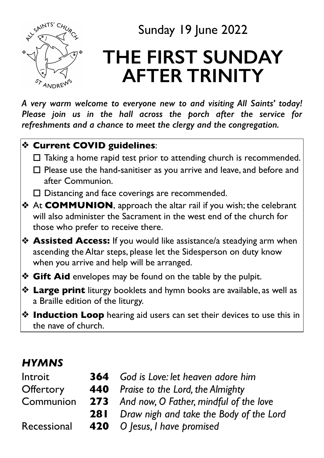

# Sunday 19 June 2022

# **THE FIRST SUNDAY AFTER TRINITY**

*A very warm welcome to everyone new to and visiting All Saints' today! Please join us in the hall across the porch after the service for refreshments and a chance to meet the clergy and the congregation.* 

### ❖ **Current COVID guidelines**:

- $\Box$  Taking a home rapid test prior to attending church is recommended.
- $\Box$  Please use the hand-sanitiser as you arrive and leave, and before and after Communion.
- $\Box$  Distancing and face coverings are recommended.
- ❖ At **COMMUNION**, approach the altar rail if you wish; the celebrant will also administer the Sacrament in the west end of the church for those who prefer to receive there.
- ❖ **Assisted Access:** If you would like assistance/a steadying arm when ascending the Altar steps, please let the Sidesperson on duty know when you arrive and help will be arranged.
- ❖ **Gift Aid** envelopes may be found on the table by the pulpit.
- ❖ **Large print** liturgy booklets and hymn books are available, as well as a Braille edition of the liturgy.
- ❖ **Induction Loop** hearing aid users can set their devices to use this in the nave of church.

## *HYMNS*

| Introit     | <b>364</b> God is Love: let heaven adore him       |  |
|-------------|----------------------------------------------------|--|
| Offertory   | <b>440</b> Praise to the Lord, the Almighty        |  |
| Communion   | <b>273</b> And now, O Father, mindful of the love  |  |
|             | <b>281</b> Draw nigh and take the Body of the Lord |  |
| Recessional | 420 O Jesus, I have promised                       |  |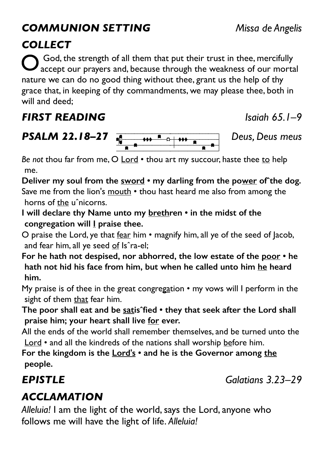### *COMMUNION SETTING Missa de Angelis*

God, the strength of all them that put their trust in thee, mercifully accept our prayers and, because through the weakness of our mortal nature we can do no good thing without thee, grant us the help of thy grace that, in keeping of thy commandments, we may please thee, both in will and deed;

## *FIRST READING Isaiah 65.1–9*



**PSALIVI 22.16-27**<br>Be not thou far from me, O <u>Lord</u> • thou art my succour, haste thee <u>to</u> help me.

**Deliver my soul from the sword • my darling from the power ofˆthe dog.**  Save me from the lion's mouth • thou hast heard me also from among the horns of the uˆnicorns.

**I will declare thy Name unto my brethren • in the midst of the**  congregation will **I** praise thee.

O praise the Lord, ye that fear him • magnify him, all ye of the seed of Jacob, and fear him, all ye seed of Is<sup>o</sup>ra-el;

**For he hath not despised, nor abhorred, the low estate of the poor • he hath not hid his face from him, but when he called unto him he heard him.** 

My praise is of thee in the great congregation • my vows will I perform in the sight of them that fear him.

**The poor shall eat and be satisˆfied • they that seek after the Lord shall praise him; your heart shall live for ever.** 

All the ends of the world shall remember themselves, and be turned unto the Lord • and all the kindreds of the nations shall worship before him.

**For the kingdom is the Lord's • and he is the Governor among the people.** 

*EPISTLE Galatians 3.23–29*

# *ACCLAMATION*

*Alleluia!* I am the light of the world, says the Lord, anyone who follows me will have the light of life. *Alleluia!*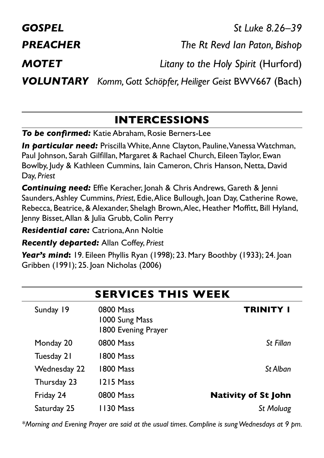*GOSPEL St Luke 8.26–39 PREACHER The Rt Revd Ian Paton, Bishop MOTET Litany to the Holy Spirit* (Hurford) *VOLUNTARY Komm, Gott Schöpfer, Heiliger Geist* BWV667 (Bach)

### **INTERCESSIONS**

*To be confirmed:* Katie Abraham, Rosie Berners-Lee

*In particular need:* Priscilla White, Anne Clayton, Pauline, Vanessa Watchman, Paul Johnson, Sarah Gilfillan, Margaret & Rachael Church, Eileen Taylor, Ewan Bowlby, Judy & Kathleen Cummins, Iain Cameron, Chris Hanson, Netta, David Day, *Priest*

**Continuing need:** Effie Keracher, Jonah & Chris Andrews, Gareth & Jenni Saunders, Ashley Cummins, *Priest*, Edie, Alice Bullough, Joan Day, Catherine Rowe, Rebecca, Beatrice, & Alexander, Shelagh Brown, Alec, Heather Moffitt, Bill Hyland, Jenny Bisset, Allan & Julia Grubb, Colin Perry

*Residential care:* Catriona, Ann Noltie

*Recently departed:* Allan Coffey, *Priest*

*Year's mind***:** 19. Eileen Phyllis Ryan (1998); 23. Mary Boothby (1933); 24. Joan Gribben (1991); 25. Joan Nicholas (2006)

| <b>SERVICES THIS WEEK</b> |                                                    |                            |  |  |
|---------------------------|----------------------------------------------------|----------------------------|--|--|
| Sunday 19                 | 0800 Mass<br>1000 Sung Mass<br>1800 Evening Prayer | <b>TRINITY I</b>           |  |  |
| Monday 20                 | 0800 Mass                                          | St Fillan                  |  |  |
| Tuesday 21                | 1800 Mass                                          |                            |  |  |
| Wednesday 22              | 1800 Mass                                          | St Alban                   |  |  |
| Thursday 23               | 1215 Mass                                          |                            |  |  |
| Friday 24                 | 0800 Mass                                          | <b>Nativity of St John</b> |  |  |
| Saturday 25               | 1130 Mass                                          | St Moluag                  |  |  |

*\*Morning and Evening Prayer are said at the usual times. Compline is sung Wednesdays at 9 pm.*